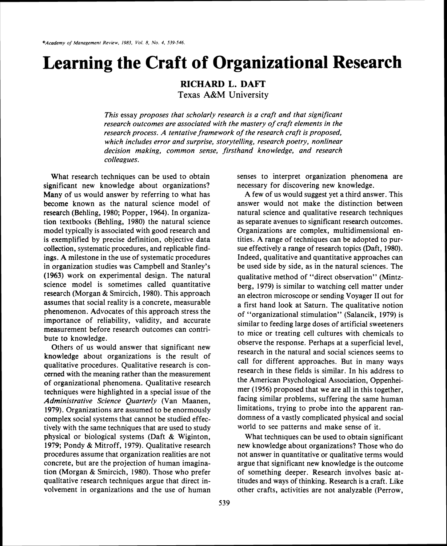# **Learning the Craft of Organizational Research**

**RICHARD L. DAFT**  Texas **A&M** University

*This* essay *proposes that scholarly research is a craft and that significant research outcomes are associated with the mastery of craft elements in the research process. A tentative framework of the research craft is proposed, which includes error and surprise, storytelling, research poetry, nonlinear decision making, common sense, firsthand knowledge, and research colleagues.* 

What research techniques can be used to obtain significant new knowledge about organizations? Many of us would answer by referring to what has become known as the natural science model of research (Behling, 1980; Popper, 1964). In organization textbooks (Behling, 1980) the natural science model typically is associated with good research and is exemplified by precise definition, objective data collection, systematic procedures, and replicable findings. A milestone in the use of systematic procedures in organization studies was Campbell and Stanley's (1963) work on experimental design. The natural science model is sometimes called quantitative research (Morgan & Smircich, 1980). This approach assumes that social reality is a concrete, measurable phenomenon. Advocates of this approach stress the importance of reliability, validity, and accurate measurement before research outcomes can contribute to knowledge.

Others of us would answer that significant new knowledge about organizations is the result of qualitative procedures. Qualitative research is concerned with the meaning rather than the measurement of organizational phenomena. Qualitative research techniques were highlighted in a special issue of the *Administrative Science Quarterly* (Van Maanen, 1979). Organizations are assumed to be enormously complex social systems that cannot be studied effectively with the same techniques that are used to study physical or biological systems (Daft & Wiginton, 1979; Pondy & Mitroff, 1979). Qualitative research procedures assume that organization realities are not concrete, but are the projection of human imagination (Morgan & Smircich, 1980). Those who prefer qualitative research techniques argue that direct involvement in organizations and the use of human

senses to interpret organization phenomena are necessary for discovering new knowledge.

A few of us would suggest yet a third answer. This answer would not make the distinction between natural science and qualitative research techniques as separate avenues to significant research outcomes. Organizations are complex, multidimensional entities. A range of techniques can be adopted to pursue effectively a range of research topics (Daft, 1980). Indeed, qualitative and quantitative approaches can be used side by side, as in the natural sciences. The qualitative method of "direct observation" (Mintzberg, 1979) is similar to watching cell matter under an electron microscope or sending Voyager I1 out for a first hand look at Saturn. The qualitative notion of "organizational stimulation" (Salancik, 1979) is similar to feeding large doses of artificial sweeteners to mice or treating cell cultures with chemicals to observe the response. Perhaps at a superficial level, research in the natural and social sciences seems to call for different approaches. But in many ways research in these fields is similar. In his address to the American Psychological Association, Oppenheimer (1956) proposed that we are all in this together, facing similar problems, suffering the same human limitations, trying to probe into the apparent randomness of a vastly complicated physical and social world to see patterns and make sense of it.

What techniques can be used to obtain significant new knowledge about organizations? Those who do not answer in quantitative or qualitative terms would argue that significant new knowledge is the outcome of something deeper. Research involves basic attitudes and ways of thinking. Research is a craft. Like other crafts, activities are not analyzable (Perrow,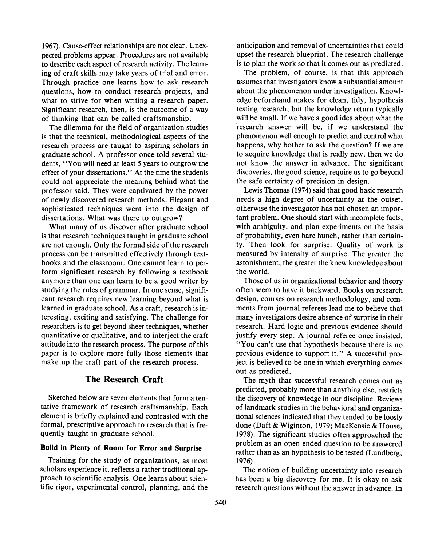1967). Cause-effect relationships are not clear. Unexpected problems appear. Procedures are not available to describe each aspect of research activity. The learning of craft skills may take years of trial and error. Through practice one learns how to ask research questions, how to conduct research projects, and what to strive for when writing a research paper. Significant research, then, is the outcome of a way of thinking that can be called craftsmanship.

The dilemma for the field of organization studies is that the technical, methodological aspects of the research process are taught to aspiring scholars in graduate school. A professor once told several students, "You will need at least 5 years to outgrow the effect of your dissertations." At the time the students could not appreciate the meaning behind what the professor said. They were captivated by the power of newly discovered research methods. Elegant and sophisticated techniques went into the design of dissertations. What was there to outgrow?

What many of us discover after graduate school is that research techniques taught in graduate school are not enough. Only the formal side of the research process can be transmitted effectively through textbooks and the classroom. One cannot learn to perform significant research by following a textbook anymore than one can learn to be a good writer by studying the rules of grammar. In one sense, significant research requires new learning beyond what is learned in graduate school. As a craft, research is interesting, exciting and satisfying. The challenge for researchers is to get beyond sheer techniques, whether quantitative or qualitative, and to interject the craft attitude into the research process. The purpose of this paper is to explore more fully those elements that make up the craft part of the research process.

## **The Research Craft**

Sketched below are seven elements that form a tentative framework of research craftsmanship. Each element is briefly explained and contrasted with the formal, prescriptive approach to research that is frequently taught in graduate school.

#### **Build in Plenty of Room for Error and Surprise**

Training for the study of organizations, as most scholars experience it, reflects a rather traditional approach to scientific analysis. One learns about scientific rigor, experimental control, planning, and the anticipation and removal of uncertainties that could upset the research blueprint. The research challenge is to plan the work so that it comes out as predicted.

The problem, of course, is that this approach assumes that investigators know a substantial amount about the phenomenon under investigation. Knowledge beforehand makes for clean, tidy, hypothesis testing research, but the knowledge return typically will be small. If we have a good idea about what the research answer will be, if we understand the phenomenon well enough to predict and control what happens, why bother to ask the question? If we are to acquire knowledge that is really new, then we do not know the answer in advance. The significant discoveries, the good science, require us to go beyond the safe certainty of precision in design.

Lewis Thomas (1974) said that good basic research needs a high degree of uncertainty at the outset, otherwise the investigator has not chosen an important problem. One should start with incomplete facts, with ambiguity, and plan experiments on the basis of probability, even bare hunch, rather than certainty. Then look for surprise. Quality of work is measured by intensity of surprise. The greater the astonishment, the greater the knew knowledge about the world.

Those of us in organizational behavior and theory often seem to have it backward. Books on research design, courses on research methodology, and comments from journal referees lead me to believe that many investigators desire absence of surprise in their research. Hard logic and previous evidence should justify every step. A journal referee once insisted, "You can't use that hypothesis because there is no previous evidence to support it." A successful project is believed to be one in which everything comes out as predicted.

The myth that successful research comes out as predicted, probably more than anything else, restricts the discovery of knowledge in our discipline. Reviews of landmark studies in the behavioral and organizational sciences indicated that they tended to be loosly done (Daft & Wiginton, 1979; MacKensie & House, 1978). The significant studies often approached the problem as an open-ended question to be answered rather than as an hypothesis to be tested (Lundberg, 1 976).

The notion of building uncertainty into research has been a big discovery for me. It is okay to ask research questions without the answer in advance. In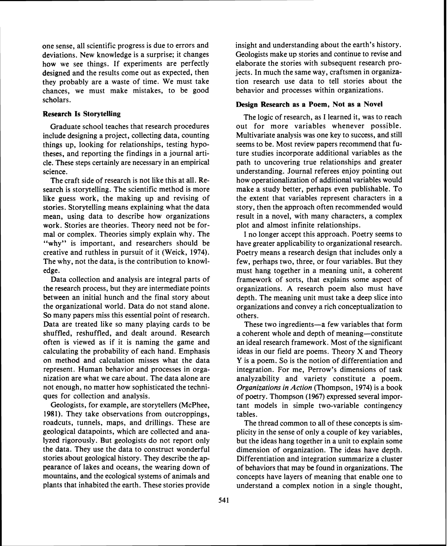one sense, all scientific progress is due to errors and deviations. New knowledge is a surprise; it changes how we see things. If experiments are perfectly designed and the results come out as expected, then they probably are a waste of time. We must take chances, we must make mistakes, to be good scholars.

#### **Research Is Storytelling**

Graduate school teaches that research procedures include designing a project, collecting data, counting things up, looking for relationships, testing hypotheses, and reporting the findings in a journal article. These steps certainly are necessary in an empirical science.

The craft side of research is not like this at all. Research is storytelling. The scientific method is more like guess work, the making up and revising of stories. Storytelling means explaining what the data mean, using data to describe how organizations work. Stories are theories. Theory need not be formal or complex. Theories simply explain why. The "why" is important, and researchers should be creative and ruthless in pursuit of it (Weick, 1974). The why, not the data, is the contribution to knowledge.

Data collection and analysis are integral parts of the research process, but they are intermediate points between an initial hunch and the final story about the organizational world. Data do not stand alone. So many papers miss this essential point of research. Data are treated like so many playing cards to be shuffled, reshuffled, and dealt around. Research often is viewed as if it is naming the game and calculating the probability of each hand. Emphasis on method and calculation misses what the data represent. Human behavior and processes in organization are what we care about. The data alone are not enough, no matter how sophisticated the techniques for collection and analysis.

Geologists, for example, are storytellers (McPhee, 1981). They take observations from outcroppings, roadcuts, tunnels, maps, and drillings. These are geological datapoints, which are collected and analyzed rigorously. But geologists do not report only the data. They use the data to construct wonderful stories about geological history. They describe the appearance of lakes and oceans, the wearing down of mountains, and the ecological systems of animals and plants that inhabited the earth. These stories provide insight and understanding about the earth's history. Geologists make up stories and continue to revise and elaborate the stories with subsequent research projects. In much the same way, craftsmen in organization research use data to tell stories about the behavior and processes within organizations.

#### **Design Research as a Poem, Not as a Novel**

The logic of research, as I learned it, was to reach out for more variables whenever possible. Multivariate analysis was one key to success, and still seems to be. Most review papers recommend that future studies incorporate additional variables as the path to uncovering true relationships and greater understanding. Journal referees eajoy pointing out how operationalization of additional variables would make a study better, perhaps even publishable. To the extent that variables represent characters in a story, then the approach often recommended would result in a novel, with many characters, a complex plot and almost infinite relationships.

I no longer accept this approach. Poetry seems to have greater applicability to organizational research. Poetry means a research design that includes only a few, perhaps two, three, or four variables. But they must hang together in a meaning unit, a coherent framework of sorts, that explains some aspect of organizations. A research poem also must have depth. The meaning unit must take a deep slice into organizations and convey a rich conceptualization to others.

These two ingredients—a few variables that form a coherent whole and depth of meaning-constitute an ideal research framework. Most of the significant ideas in our field are poems. Theory X and Theory Y is a poem. So is the notion of differentiation and integration. For me, Perrow's dimensions of task analyzability and variety constitute a poem. *Organizations in Action* (Thompson, 1974) is a book of poetry. Thompson (1967) expressed several important models in simple two-variable contingency tables.

The thread common to all of these concepts is simplicity in the sense of only a couple of key variables, but the ideas hang together in a unit to explain some dimension of organization. The ideas have depth. Differentiation and integration summarize a cluster of behaviors that may be found in organizations. The concepts have layers of meaning that enable one to understand a complex notion in a single thought,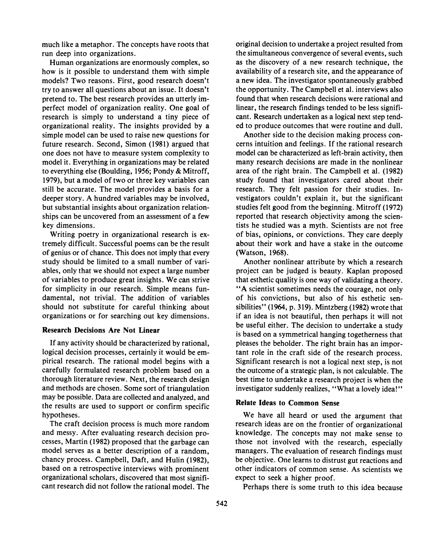much like a metaphor. The concepts have roots that run deep into organizations.

Human organizations are enormously complex, so how is it possible to understand them with simple models? Two reasons. First, good research doesn't try to answer all questions about an issue. It doesn't pretend to. The best research provides an utterly imperfect model of organization reality. One goal of research is simply to understand a tiny piece of organizational reality. The insights provided by a simple model can be used to raise new questions for future research. Second, Simon (1981) argued that one does not have to measure system complexity to model it. Everything in organizations may be related to everything else (Boulding, 1956; Pondy & Mitroff, 1979), but a model of two or three key variables can still be accurate. The model provides a basis for a deeper story. A hundred variables may be involved, but substantial insights about organization relationships can be uncovered from an assessment of a few key dimensions.

Writing poetry in organizational research is extremely difficult. Successful poems can be the result of genius or of chance. This does not imply that every study should be limited to a small number of variables, only that we should not expect a large number of variables to produce great insights. We can strive for simplicity in our research. Simple means fundamental, not trivial. The addition of variables should not substitute for careful thinking about organizations or for searching out key dimensions.

## Research Decisions Are Not Linear

If any activity should be characterized by rational, logical decision processes, certainly it would be empirical research. The rational model begins with a carefully formulated research problem based on a thorough literature review. Next, the research design and methods are chosen. Some sort of triangulation may be possible. Data are collected and analyzed, and the results are used to support or confirm specific hypotheses.

The craft decision process is much more random and messy. After evaluating research decision processes, Martin (1982) proposed that the garbage can model serves as a better description of a random, chancy process. Campbell, Daft, and Hulin (1982), based on a retrospective interviews with prominent organizational scholars, discovered that most significant research did not follow the rational model. The original decision to undertake a project resulted from the simultaneous convergence of several events, such as the discovery of a new research technique, the availability of a research site, and the appearance of a new idea. The investigator spontaneously grabbed the opportunity. The Campbell et al. interviews also found that when research decisions were rational and linear, the research findings tended to be less significant. Research undertaken as a logical next step tended to produce outcomes that were routine and dull.

Another side to the decision making process concerns intuition and feelings. If the rational research model can be characterized as left-brain activity, then many research decisions are made in the nonlinear area of the right brain. The Campbell et al. (1982) study found that investigators cared about their research. They felt passion for their studies. Investigators couldn't explain it, but the significant studies felt good from the beginning. Mitroff (1972) reported that research objectivity among the scientists he studied was a myth. Scientists are not free of bias, opinions, or convictions. They care deeply about their work and have a stake in the outcome (Watson, 1968).

Another nonlinear attribute by which a research project can be judged is beauty. Kaplan proposed that esthetic quality is one way of validating a theory. "A scientist sometimes needs the courage, not only of his convictions, but also of his esthetic sensibilities" (1964, p. 319). Mintzberg (1982) wrote that if an idea is not beautiful, then perhaps it will not be useful either. The decision to undertake a study is based on a symmetrical hanging togetherness that pleases the beholder. The right brain has an important role in the craft side of the research process. Significant research is not a logical next step, is not the outcome of a strategic plan, is not calculable. The best time to undertake a research project is when the investigator suddenly realizes, "What a lovely idea!"

#### Relate Ideas to Common Sense

We have all heard or used the argument that research ideas are on the frontier of organizational knowledge. The concepts may not make sense to those not involved with the research, especially managers. The evaluation of research findings must be objective. One learns to distrust gut reactions and other indicators of common sense. As scientists we expect to seek a higher proof.

Perhaps there is some truth to this idea because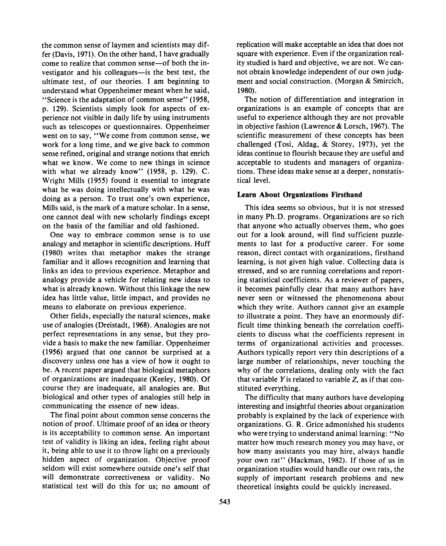the common sense of laymen and scientists may differ (Davis, 1971). On the other hand, I have gradually come to realize that common sense—of both the investigator and his colleagues-is the best test, the ultimate test, of our theories. I am beginning to understand what Oppenheimer meant when he said, "Science is the adaptation of common sense" (1958, p. 129). Scientists simply look for aspects of experience not visible in daily life by using instruments such as telescopes or questionnaires. Oppenheimer went on to say, "We come from common sense, we work for a long time, and we give back to common sense refined, original and strange notions that enrich what we know. We come to new things in science with what we already know" (1958, p. 129). C. Wright Mills (1955) found it essential to integrate what he was doing intellectually with what he was doing as a person. To trust one's own experience, Mills said, is the mark of a mature scholar. In a sense, one cannot deal with new scholarly findings except on the basis of the familiar and old fashioned.

One way to embrace common sense is to use analogy and metaphor in scientific descriptions. Huff (1980) writes that metaphor makes the strange familiar and it allows recognition and learning that links an idea to previous experience. Metaphor and analogy provide a vehicle for relating new ideas to what is already known. Without this linkage the new idea has little value, little impact, and provides no means to elaborate on previous experience.

Other fields, especially the natural sciences, make use of analogies (Dreistadt, 1968). Analogies are not perfect representations in any sense, but they provide a basis to make the new familiar. Oppenheimer (1956) argued that one cannot be surprised at a discovery unless one has a view of how it ought to be. A recent paper argued that biological metaphors of organizations are inadequate (Keeley, 1980). Of course they are inadequate, all analogies are. But biological and other types of analogies still help in communicating the essence of new ideas.

The final point about common sense concerns the notion of proof. Ultimate proof of an idea or theory is its acceptability to common sense. An important test of validity is liking an idea, feeling right about it, being able to use it to throw light on a previously hidden aspect of organization. Objective proof seldom will exist somewhere outside one's self that will demonstrate correctiveness or validity. No statistical test will do this for us; no amount of replication will make acceptable an idea that does not square with experience. Even if the organization reality studied is hard and objective, we are not. We cannot obtain knowledge independent of our own judgment and social construction. (Morgan & Smircich, 1980).

The notion of differentiation and integration in organizations is an example of concepts that are useful to experience although they are not provable in objective fashion (Lawrence & Lorsch, 1967). The scientific measurement of these concepts has been challenged (Tosi, Aldag, & Storey, 1973), yet the ideas continue to flourish because they are useful and acceptable to students and managers of organizations. These ideas make sense at a deeper, nonstatistical level.

#### Learn **About** Organizations Firsthand

This idea seems so obvious, but it is not stressed in many Ph.D. programs. Organizations are so rich that anyone who actually observes them, who goes out for a look around, will find sufficient puzzlements to last for a productive career. For some reason, direct contact with organizations, firsthand learning, is not given high value. Collecting data is stressed, and so are running correlations and reporting statistical coefficients. As a reviewer of papers, it becomes painfully clear that many authors have never seen or witnessed the phenomenona about which they write. Authors cannot give an example to illustrate a point. They have an enormously difficult time thinking beneath the correlation coefficients to discuss what the coefficients represent in terms of organizational activities and processes. Authors typically report very thin descriptions of a large number of relationships, never touching the why of the correlations, dealing only with the fact that variable  $Y$  is related to variable  $Z$ , as if that constituted everything.

The difficulty that many authors have developing interesting and insightful theories about organization probably is explained by the lack of experience with organizations. G. R. Grice admonished his students who were trying to understand animal learning: "No matter how much research money you may have, or how many assistants you may hire, always handle your own rat" (Hackman, 1982). If those of us in organization studies would handle our own rats, the supply of important research problems and new theoretical insights could be quickly increased.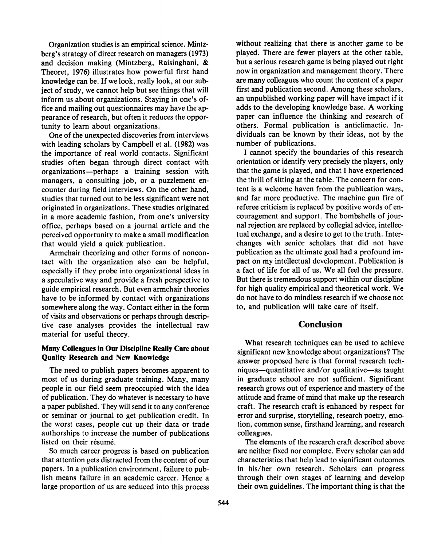Organization studies is an empirical science. Mintzberg's strategy of direct research on managers (1973) and decision making (Mintzberg, Raisinghani, & Theoret, 1976) illustrates how powerful first hand knowledge can be. If we look, really look, at our subject of study, we cannot help but see things that will inform us about organizations. Staying in one's office and mailing out questionnaires may have the appearance of research, but often it reduces the opportunity to learn about organizations.

One of the unexpected discoveries from interviews with leading scholars by Campbell et al. (1982) was the importance of real world contacts. Significant studies often began through direct contact with organizations-perhaps a training session with managers, a consulting job, or a puzzlement encounter during field interviews. On the other hand, studies that turned out to be less significant were not originated in organizations. These studies originated in a more academic fashion, from one's university office, perhaps based on a journal article and the perceived opportunity to make a small modification that would yield a quick publication.

Armchair theorizing and other forms of noncontact with the organization also can be helpful, especially if they probe into organizational ideas in a speculative way and provide a fresh perspective to guide empirical research. But even armchair theories have to be informed by contact with organizations somewhere along the way. Contact either in the form of visits and observations or perhaps through descriptive case analyses provides the intellectual raw material for useful theory.

## **Many Colleagues in Our Discipline Really Care about Quality Research and New Knowledge**

The need to publish papers becomes apparent to most of us during graduate training. Many, many people in our field seem preoccupied with the idea of publication. They do whatever is necessary to have a paper published. They will send it to any conference or seminar or journal to get publication credit. In the worst cases, people cut up their data or trade authorships to increase the number of publications listed on their résumé.

So much career progress is based on publication that attention gets distracted from the content of our papers. In a publication environment, failure to publish means failure in an academic career. Hence a large proportion of us are seduced into this process without realizing that there is another game to be played. There are fewer players at the other table, but a serious research game is being played out right now in organization and management theory. There are many colleagues who count the content of a paper first and publication second. Among these scholars, an unpublished working paper will have impact if it adds to the developing knowledge base. A working paper can influence the thinking and research of others. Formal publication is anticlimactic. Individuals can be known by their ideas, not by the number of publications.

I cannot specify the boundaries of this research orientation or identify very precisely the players, only that the game is played, and that I have experienced the thrill of sitting at the table. The concern for content is a welcome haven from the publication wars, and far more productive. The machine gun fire of referee criticism is replaced by positive words of encouragement and support. The bombshells of journal rejection are replaced by collegial advice, intellectual exchange, and a desire to get to the truth. Interchanges with senior scholars that did not have publication as the ultimate goal had a profound impact on my intellectual development. Publication is a fact of life for all of us. We all feel the pressure. But there is tremendous support within our discipline for high quality empirical and theoretical work. We do not have to do mindless research if we choose not to, and publication will take care of itself.

# **Conclusion**

What research techniques can be used to achieve significant new knowledge about organizations? The answer proposed here is that formal research techniques-quantitative and/or qualitative-as taught in graduate school are not sufficient. Significant research grows out of experience and mastery of the attitude and frame of mind that make up the research craft. The research craft is enhanced by respect for error and surprise, storytelling, research poetry, emotion, common sense, firsthand learning, and research colleagues.

The elements of the research craft described above are neither fixed nor complete. Every scholar can add characteristics that help lead to significant outcomes in his/her own research. Scholars can progress through their own stages of learning and develop their own guidelines. The important thing is that the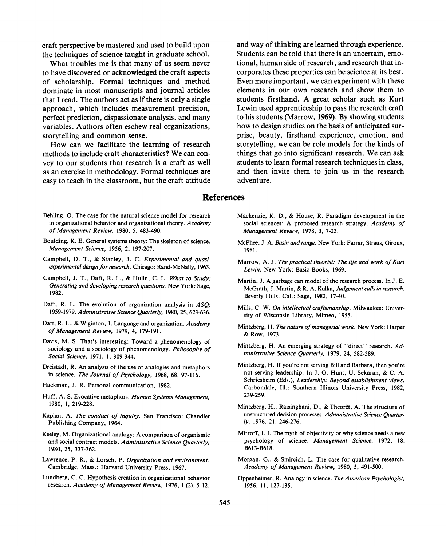craft perspective be mastered and used to build upon the techniques of science taught in graduate school.

What troubles me is that many of us seem never to have discovered or acknowledged the craft aspects of scholarship. Formal techniques and method dominate in most manuscripts and journal articles that I read. The authors act as if there is only a single approach, which includes measurement precision, perfect prediction, dispassionate analysis, and many variables. Authors often eschew real organizations, storytelling and common sense.

How can we facilitate the learning of research methods to include craft characteristics? We can convey to our students that research is a craft as well as an exercise in methodology. Formal techniques are easy to teach in the classroom, but the craft attitude and way of thinking are learned through experience. Students can be told that there is an uncertain, emotional, human side of research, and research that incorporates these properties can be science at its best. Even more important, we can experiment with these elements in our own research and show them to students firsthand. A great scholar such as Kurt Lewin used apprenticeship to pass the research craft to his students (Marrow, 1969). By showing students how to design studies on the basis of anticipated surprise, beauty, firsthand experience, emotion, and storytelling, we can be role models for the kinds of things that go into significant research. We can ask students to learn formal research techniques in class, and then invite them to join us in the research adventure.

## **References**

- Behling, 0. The case for the natural science model for research in organizational behavior and organizational theory. *Academy of Management Review,* 1980, 5, 483-490.
- Boulding, K. E. General systems theory: The skeleton of science. *Management Science,* 1956, 2, 197-207.
- Campbell, D. T., & Stanley, J. C. *Experimental and quasiexperimental design for research.* Chicago: Rand-McNally, 1963.
- Campbell, J. T., Daft, R. L., & Hulin, C. L. *What to Study: Generating and developing research questions.* New York: Sage, 1982.
- Daft, R. L. The evolution of organization analysis in ASQ:<br>1959-1979. Administrative Science Quarterly, 1980, 25, 623-636.<br>sity of Wisconsin Library. Mimeo. 1955.
- Daft, R. L., & Wiginton, J. Language and organization. *Academy of Management Review,* 1979, 4, 179-191. Mintzberg, H. *The nature of managerial work.* New York: Harper
- Davis, M. S. That's interesting: Toward a phenomenology of Mintzberg, H. An emerging strategy of "direct" research. *Ad-* sociology and a sociology of phenomenology. *Philosophy of*  Social Science, 1971, 1, 309-344.<br>Social Science, 1971, 1, 309-344.
- Dreistadt, R. An analysis of the use of analogies and metaphors in science. *The Journal of Psychology,* 1968, 68, 97-1 16.
- Hackman, J. R. Personal communication, 1982.
- Huff, A. S. Evocative metaphors. *Human Systems Management,*  1980, 1, 219-228.
- Kaplan, A. *The conduct of inquiry.* San Francisco: Chandler Publishing Company, 1964.
- Keeley, M. Organizational analogy: A comparison of organismic and social contract models. *Administrative Science Quarterly,*  1980, 25, 337-362.
- Lawrence, P. R., & Lorsch, P. *Organization and environment.*  Cambridge, Mass.: Harvard University Press, 1967.
- Lundberg, C. C. Hypothesis creation in organizational behavior research. *Academy of Management Review,* 1976, 1 (2), 5-12.
- Mackenzie, K. D., & House, R. Paradigm development in the social sciences: A proposed research strategy. *Academy of Management Review,* 1978, 3, 7-23.
- McPhee, J. A. *Basin and range.* New York: Farrar, Straus, Giroux, 1981.
- Marrow, A. J. *The practical theorist: The life and work of Kurt Lewin.* New York: Basic Books, 1969.
- Martin, J. A garbage can model of the research process. In J. E. McGrath, J. Martin, & R. A. Kulka, *Judgement calls in research.*  Beverly Hills, Cal.: Sage, 1982, 17-40.
- 
- & Row, 1973.
- 
- Mintzberg, H. If you're not serving Bill and Barbara, then you're not serving leadership. In J. G. Hunt, U. Sekaran, & C. A. Schriesheim (Eds.), *Leadership: Beyond establishment views.*  Carbondale, Ill.: Southern Illinois University Press, 1982, 239-259.
- Mintzberg, H., Raisinghani, D., & Theorêt, A. The structure of unstructured decision processes. *Administrative Science Quarterly,* 1976, 21, 246-276.
- Mitroff, I. I. The myth of objectivity or why science needs a new psychology of science. *Management Science,* 1972, 18, B613-B618.
- Morgan, G., & Smircich, L. The case for qualitative research. *Academy of Management Review,* 1980, 5, 491-500.
- Oppenheimer, R. Analogy in science. *The American Psychologist,*  1956, 11, 127-135.